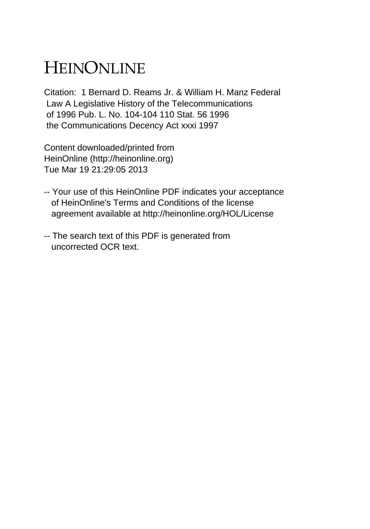# HEINONLINE

Citation: 1 Bernard D. Reams Jr. & William H. Manz Federal Law A Legislative History of the Telecommunications of 1996 Pub. L. No. 104-104 110 Stat. 56 1996 the Communications Decency Act xxxi 1997

Content downloaded/printed from HeinOnline (http://heinonline.org) Tue Mar 19 21:29:05 2013

- -- Your use of this HeinOnline PDF indicates your acceptance of HeinOnline's Terms and Conditions of the license agreement available at http://heinonline.org/HOL/License
- -- The search text of this PDF is generated from uncorrected OCR text.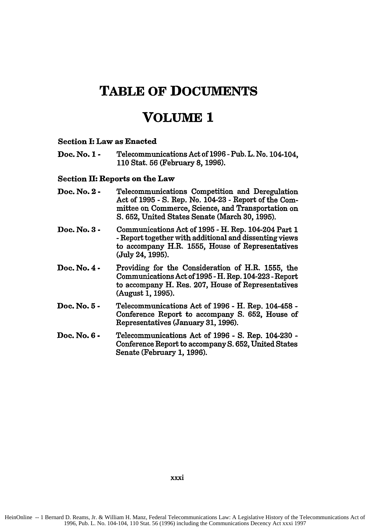## **TABLE OF DOCUMENTS**

### **VOLUME 1**

#### **Section I: Law as Enacted**

**Doc. No. 1 -** Telecommunications Act of **1996 -**Pub. L. No. 104-104, **110** Stat. **56** (February **8, 1996).**

#### **Section I[: Reports on the Law**

- **Doc. No. 2 -** Telecommunications Competition and Deregulation Act of **1995 - S.** Rep. No. 104-23 **-** Report of the Committee on Commerce, Science, and Transportation on **S. 652,** United States Senate (March **30, 1995).**
- **Doc. No. 3 -** Communications Act of **1995 -** H. Rep. 104-204 Part **1 -** Report together with additional and dissenting views to accompany H.R. **1555,** House of Representatives (July 24, **1995).**
- **Doc. No. 4 -** Providing for the Consideration of H.R. **1555,** the Communications Act of **1995 -** H. Rep. 104-223 **-**Report to accompany H. Res. **207,** House of Representatives (August **1, 1995).**
- **Doc. No. 5 -** Telecommunications Act of **1996 -** H. Rep. 104-458 **-** Conference Report to accompany **S. 652,** House of Representatives (January **31, 1996).**
- **Doc. No. 6 -** Telecommunications Act of **1996 - S.** Rep. 104-230 **-** Conference Report to accompany **S. 652,** United States Senate (February **1, 1996).**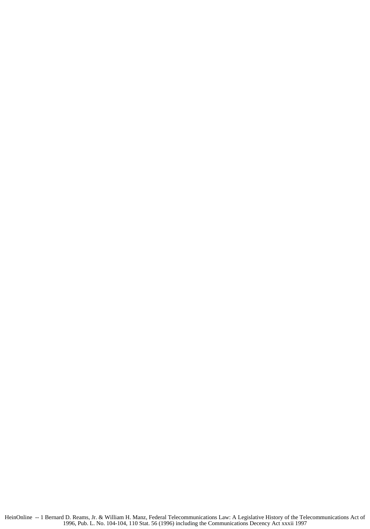HeinOnline -- 1 Bernard D. Reams, Jr. & William H. Manz, Federal Telecommunications Law: A Legislative History of the Telecommunications Act of 1996, Pub. L. No. 104-104, 110 Stat. 56 (1996) including the Communications Decency Act xxxii 1997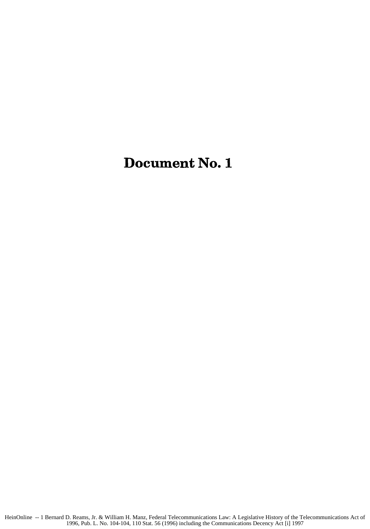## Document No. **1**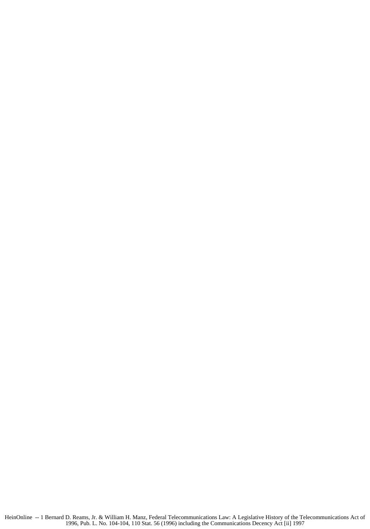HeinOnline -- 1 Bernard D. Reams, Jr. & William H. Manz, Federal Telecommunications Law: A Legislative History of the Telecommunications Act of 1996, Pub. L. No. 104-104, 110 Stat. 56 (1996) including the Communications Decency Act [ii] 1997